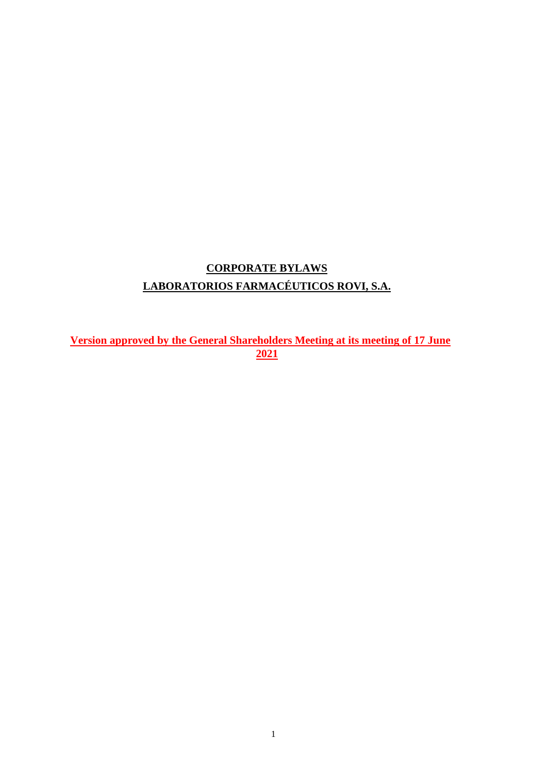# **CORPORATE BYLAWS LABORATORIOS FARMACÉUTICOS ROVI, S.A.**

**Version approved by the General Shareholders Meeting at its meeting of 17 June 2021**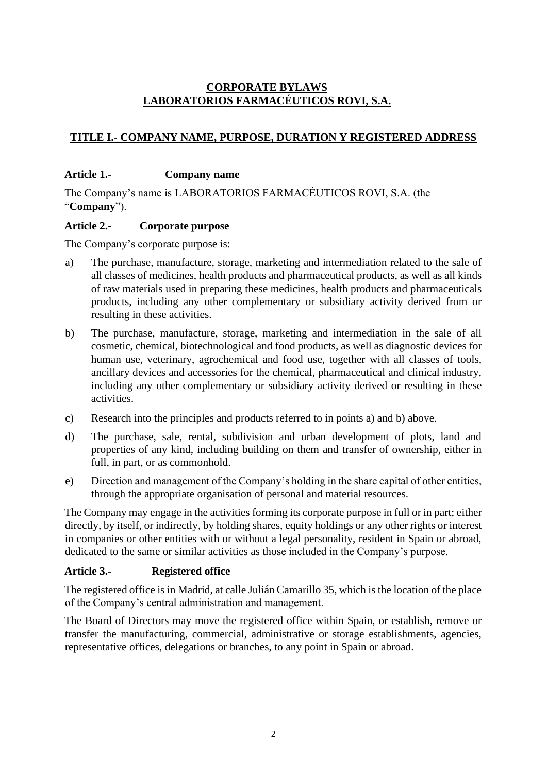# **CORPORATE BYLAWS LABORATORIOS FARMACÉUTICOS ROVI, S.A.**

# **TITLE I.- COMPANY NAME, PURPOSE, DURATION Y REGISTERED ADDRESS**

# **Article 1.- Company name**

The Company's name is LABORATORIOS FARMACÉUTICOS ROVI, S.A. (the "**Company**").

# **Article 2.- Corporate purpose**

The Company's corporate purpose is:

- a) The purchase, manufacture, storage, marketing and intermediation related to the sale of all classes of medicines, health products and pharmaceutical products, as well as all kinds of raw materials used in preparing these medicines, health products and pharmaceuticals products, including any other complementary or subsidiary activity derived from or resulting in these activities.
- b) The purchase, manufacture, storage, marketing and intermediation in the sale of all cosmetic, chemical, biotechnological and food products, as well as diagnostic devices for human use, veterinary, agrochemical and food use, together with all classes of tools, ancillary devices and accessories for the chemical, pharmaceutical and clinical industry, including any other complementary or subsidiary activity derived or resulting in these activities.
- c) Research into the principles and products referred to in points a) and b) above.
- d) The purchase, sale, rental, subdivision and urban development of plots, land and properties of any kind, including building on them and transfer of ownership, either in full, in part, or as commonhold.
- e) Direction and management of the Company's holding in the share capital of other entities, through the appropriate organisation of personal and material resources.

The Company may engage in the activities forming its corporate purpose in full or in part; either directly, by itself, or indirectly, by holding shares, equity holdings or any other rights or interest in companies or other entities with or without a legal personality, resident in Spain or abroad, dedicated to the same or similar activities as those included in the Company's purpose.

# **Article 3.- Registered office**

The registered office is in Madrid, at calle Julián Camarillo 35, which is the location of the place of the Company's central administration and management.

The Board of Directors may move the registered office within Spain, or establish, remove or transfer the manufacturing, commercial, administrative or storage establishments, agencies, representative offices, delegations or branches, to any point in Spain or abroad.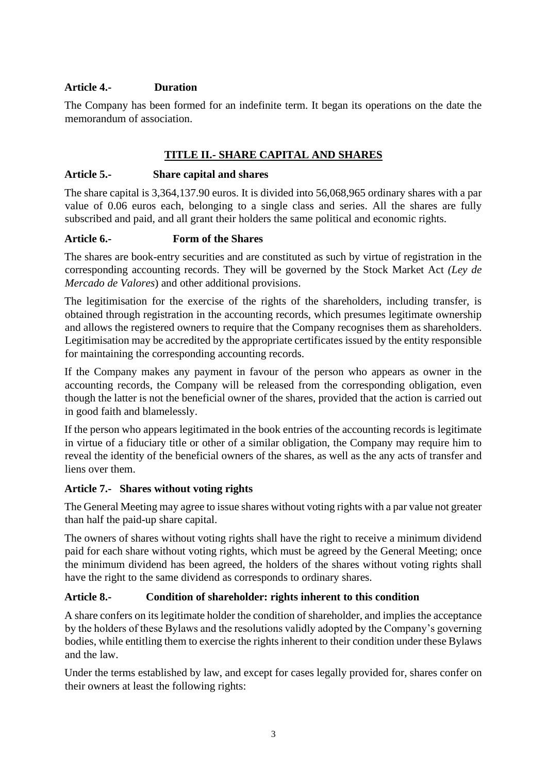# **Article 4.- Duration**

The Company has been formed for an indefinite term. It began its operations on the date the memorandum of association.

# **TITLE II.- SHARE CAPITAL AND SHARES**

#### **Article 5.- Share capital and shares**

The share capital is 3,364,137.90 euros. It is divided into 56,068,965 ordinary shares with a par value of 0.06 euros each, belonging to a single class and series. All the shares are fully subscribed and paid, and all grant their holders the same political and economic rights.

#### **Article 6.- Form of the Shares**

The shares are book-entry securities and are constituted as such by virtue of registration in the corresponding accounting records. They will be governed by the Stock Market Act *(Ley de Mercado de Valores*) and other additional provisions.

The legitimisation for the exercise of the rights of the shareholders, including transfer, is obtained through registration in the accounting records, which presumes legitimate ownership and allows the registered owners to require that the Company recognises them as shareholders. Legitimisation may be accredited by the appropriate certificates issued by the entity responsible for maintaining the corresponding accounting records.

If the Company makes any payment in favour of the person who appears as owner in the accounting records, the Company will be released from the corresponding obligation, even though the latter is not the beneficial owner of the shares, provided that the action is carried out in good faith and blamelessly.

If the person who appears legitimated in the book entries of the accounting records is legitimate in virtue of a fiduciary title or other of a similar obligation, the Company may require him to reveal the identity of the beneficial owners of the shares, as well as the any acts of transfer and liens over them.

#### **Article 7.- Shares without voting rights**

The General Meeting may agree to issue shares without voting rights with a par value not greater than half the paid-up share capital.

The owners of shares without voting rights shall have the right to receive a minimum dividend paid for each share without voting rights, which must be agreed by the General Meeting; once the minimum dividend has been agreed, the holders of the shares without voting rights shall have the right to the same dividend as corresponds to ordinary shares.

#### **Article 8.- Condition of shareholder: rights inherent to this condition**

A share confers on its legitimate holder the condition of shareholder, and implies the acceptance by the holders of these Bylaws and the resolutions validly adopted by the Company's governing bodies, while entitling them to exercise the rights inherent to their condition under these Bylaws and the law.

Under the terms established by law, and except for cases legally provided for, shares confer on their owners at least the following rights: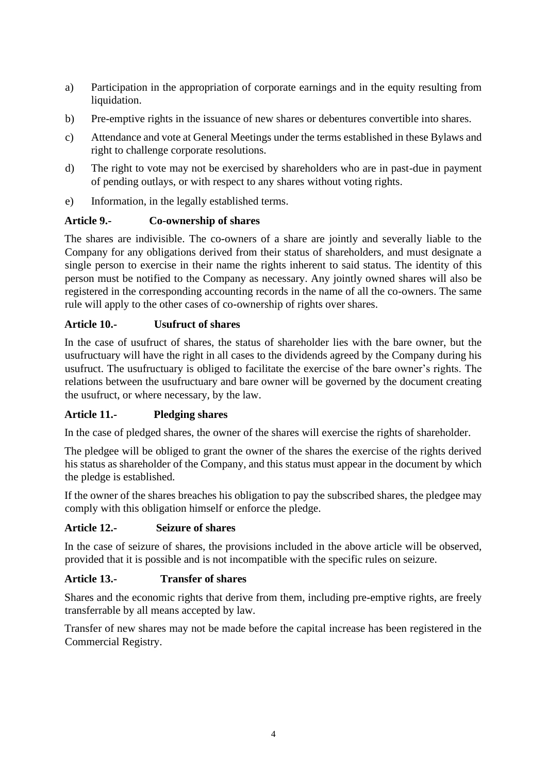- a) Participation in the appropriation of corporate earnings and in the equity resulting from liquidation.
- b) Pre-emptive rights in the issuance of new shares or debentures convertible into shares.
- c) Attendance and vote at General Meetings under the terms established in these Bylaws and right to challenge corporate resolutions.
- d) The right to vote may not be exercised by shareholders who are in past-due in payment of pending outlays, or with respect to any shares without voting rights.
- e) Information, in the legally established terms.

# **Article 9.- Co-ownership of shares**

The shares are indivisible. The co-owners of a share are jointly and severally liable to the Company for any obligations derived from their status of shareholders, and must designate a single person to exercise in their name the rights inherent to said status. The identity of this person must be notified to the Company as necessary. Any jointly owned shares will also be registered in the corresponding accounting records in the name of all the co-owners. The same rule will apply to the other cases of co-ownership of rights over shares.

# **Article 10.- Usufruct of shares**

In the case of usufruct of shares, the status of shareholder lies with the bare owner, but the usufructuary will have the right in all cases to the dividends agreed by the Company during his usufruct. The usufructuary is obliged to facilitate the exercise of the bare owner's rights. The relations between the usufructuary and bare owner will be governed by the document creating the usufruct, or where necessary, by the law.

#### **Article 11.- Pledging shares**

In the case of pledged shares, the owner of the shares will exercise the rights of shareholder.

The pledgee will be obliged to grant the owner of the shares the exercise of the rights derived his status as shareholder of the Company, and this status must appear in the document by which the pledge is established.

If the owner of the shares breaches his obligation to pay the subscribed shares, the pledgee may comply with this obligation himself or enforce the pledge.

#### **Article 12.- Seizure of shares**

In the case of seizure of shares, the provisions included in the above article will be observed, provided that it is possible and is not incompatible with the specific rules on seizure.

#### **Article 13.- Transfer of shares**

Shares and the economic rights that derive from them, including pre-emptive rights, are freely transferrable by all means accepted by law.

Transfer of new shares may not be made before the capital increase has been registered in the Commercial Registry.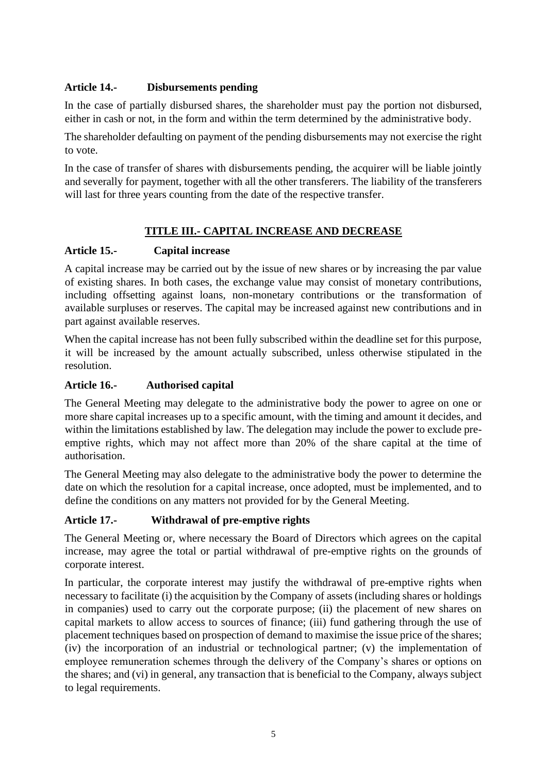# **Article 14.- Disbursements pending**

In the case of partially disbursed shares, the shareholder must pay the portion not disbursed, either in cash or not, in the form and within the term determined by the administrative body.

The shareholder defaulting on payment of the pending disbursements may not exercise the right to vote.

In the case of transfer of shares with disbursements pending, the acquirer will be liable jointly and severally for payment, together with all the other transferers. The liability of the transferers will last for three years counting from the date of the respective transfer.

# **TITLE III.- CAPITAL INCREASE AND DECREASE**

# **Article 15.- Capital increase**

A capital increase may be carried out by the issue of new shares or by increasing the par value of existing shares. In both cases, the exchange value may consist of monetary contributions, including offsetting against loans, non-monetary contributions or the transformation of available surpluses or reserves. The capital may be increased against new contributions and in part against available reserves.

When the capital increase has not been fully subscribed within the deadline set for this purpose, it will be increased by the amount actually subscribed, unless otherwise stipulated in the resolution.

#### **Article 16.- Authorised capital**

The General Meeting may delegate to the administrative body the power to agree on one or more share capital increases up to a specific amount, with the timing and amount it decides, and within the limitations established by law. The delegation may include the power to exclude preemptive rights, which may not affect more than 20% of the share capital at the time of authorisation.

The General Meeting may also delegate to the administrative body the power to determine the date on which the resolution for a capital increase, once adopted, must be implemented, and to define the conditions on any matters not provided for by the General Meeting.

# **Article 17.- Withdrawal of pre-emptive rights**

The General Meeting or, where necessary the Board of Directors which agrees on the capital increase, may agree the total or partial withdrawal of pre-emptive rights on the grounds of corporate interest.

In particular, the corporate interest may justify the withdrawal of pre-emptive rights when necessary to facilitate (i) the acquisition by the Company of assets (including shares or holdings in companies) used to carry out the corporate purpose; (ii) the placement of new shares on capital markets to allow access to sources of finance; (iii) fund gathering through the use of placement techniques based on prospection of demand to maximise the issue price of the shares; (iv) the incorporation of an industrial or technological partner; (v) the implementation of employee remuneration schemes through the delivery of the Company's shares or options on the shares; and (vi) in general, any transaction that is beneficial to the Company, always subject to legal requirements.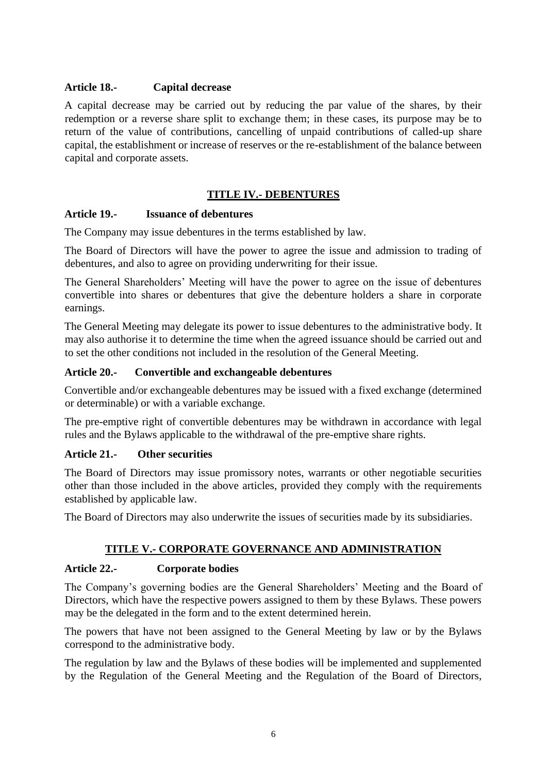#### **Article 18.- Capital decrease**

A capital decrease may be carried out by reducing the par value of the shares, by their redemption or a reverse share split to exchange them; in these cases, its purpose may be to return of the value of contributions, cancelling of unpaid contributions of called-up share capital, the establishment or increase of reserves or the re-establishment of the balance between capital and corporate assets.

#### **TITLE IV.- DEBENTURES**

#### **Article 19.- Issuance of debentures**

The Company may issue debentures in the terms established by law.

The Board of Directors will have the power to agree the issue and admission to trading of debentures, and also to agree on providing underwriting for their issue.

The General Shareholders' Meeting will have the power to agree on the issue of debentures convertible into shares or debentures that give the debenture holders a share in corporate earnings.

The General Meeting may delegate its power to issue debentures to the administrative body. It may also authorise it to determine the time when the agreed issuance should be carried out and to set the other conditions not included in the resolution of the General Meeting.

#### **Article 20.- Convertible and exchangeable debentures**

Convertible and/or exchangeable debentures may be issued with a fixed exchange (determined or determinable) or with a variable exchange.

The pre-emptive right of convertible debentures may be withdrawn in accordance with legal rules and the Bylaws applicable to the withdrawal of the pre-emptive share rights.

#### **Article 21.- Other securities**

The Board of Directors may issue promissory notes, warrants or other negotiable securities other than those included in the above articles, provided they comply with the requirements established by applicable law.

The Board of Directors may also underwrite the issues of securities made by its subsidiaries.

#### **TITLE V.- CORPORATE GOVERNANCE AND ADMINISTRATION**

#### **Article 22.- Corporate bodies**

The Company's governing bodies are the General Shareholders' Meeting and the Board of Directors, which have the respective powers assigned to them by these Bylaws. These powers may be the delegated in the form and to the extent determined herein.

The powers that have not been assigned to the General Meeting by law or by the Bylaws correspond to the administrative body.

The regulation by law and the Bylaws of these bodies will be implemented and supplemented by the Regulation of the General Meeting and the Regulation of the Board of Directors,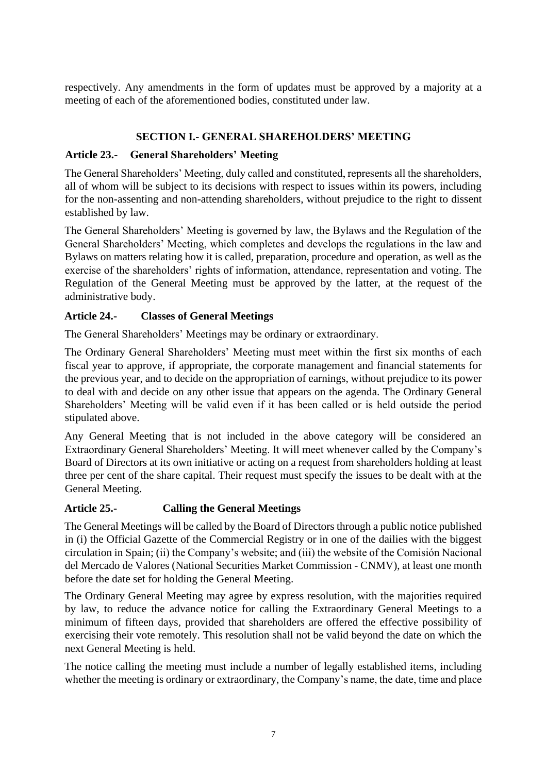respectively. Any amendments in the form of updates must be approved by a majority at a meeting of each of the aforementioned bodies, constituted under law.

### **SECTION I.- GENERAL SHAREHOLDERS' MEETING**

### **Article 23.- General Shareholders' Meeting**

The General Shareholders' Meeting, duly called and constituted, represents all the shareholders, all of whom will be subject to its decisions with respect to issues within its powers, including for the non-assenting and non-attending shareholders, without prejudice to the right to dissent established by law.

The General Shareholders' Meeting is governed by law, the Bylaws and the Regulation of the General Shareholders' Meeting, which completes and develops the regulations in the law and Bylaws on matters relating how it is called, preparation, procedure and operation, as well as the exercise of the shareholders' rights of information, attendance, representation and voting. The Regulation of the General Meeting must be approved by the latter, at the request of the administrative body.

# **Article 24.- Classes of General Meetings**

The General Shareholders' Meetings may be ordinary or extraordinary.

The Ordinary General Shareholders' Meeting must meet within the first six months of each fiscal year to approve, if appropriate, the corporate management and financial statements for the previous year, and to decide on the appropriation of earnings, without prejudice to its power to deal with and decide on any other issue that appears on the agenda. The Ordinary General Shareholders' Meeting will be valid even if it has been called or is held outside the period stipulated above.

Any General Meeting that is not included in the above category will be considered an Extraordinary General Shareholders' Meeting. It will meet whenever called by the Company's Board of Directors at its own initiative or acting on a request from shareholders holding at least three per cent of the share capital. Their request must specify the issues to be dealt with at the General Meeting.

# **Article 25.- Calling the General Meetings**

The General Meetings will be called by the Board of Directors through a public notice published in (i) the Official Gazette of the Commercial Registry or in one of the dailies with the biggest circulation in Spain; (ii) the Company's website; and (iii) the website of the Comisión Nacional del Mercado de Valores (National Securities Market Commission - CNMV), at least one month before the date set for holding the General Meeting.

The Ordinary General Meeting may agree by express resolution, with the majorities required by law, to reduce the advance notice for calling the Extraordinary General Meetings to a minimum of fifteen days, provided that shareholders are offered the effective possibility of exercising their vote remotely. This resolution shall not be valid beyond the date on which the next General Meeting is held.

The notice calling the meeting must include a number of legally established items, including whether the meeting is ordinary or extraordinary, the Company's name, the date, time and place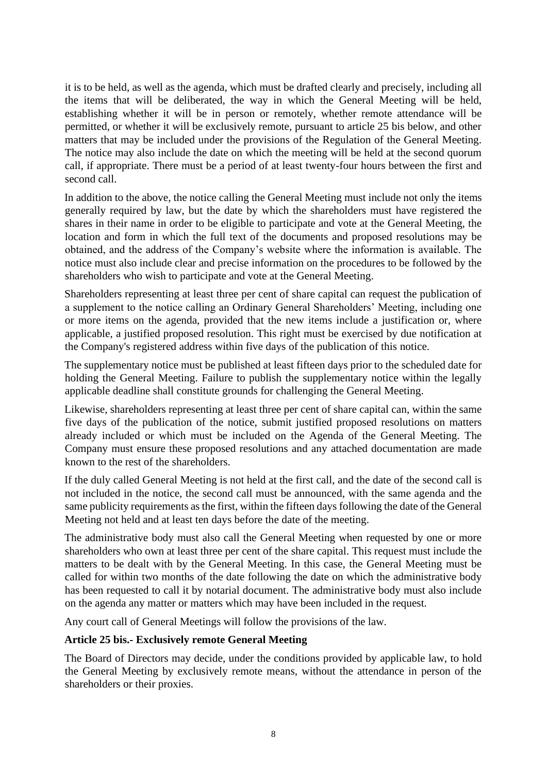it is to be held, as well as the agenda, which must be drafted clearly and precisely, including all the items that will be deliberated, the way in which the General Meeting will be held, establishing whether it will be in person or remotely, whether remote attendance will be permitted, or whether it will be exclusively remote, pursuant to article 25 bis below, and other matters that may be included under the provisions of the Regulation of the General Meeting. The notice may also include the date on which the meeting will be held at the second quorum call, if appropriate. There must be a period of at least twenty-four hours between the first and second call.

In addition to the above, the notice calling the General Meeting must include not only the items generally required by law, but the date by which the shareholders must have registered the shares in their name in order to be eligible to participate and vote at the General Meeting, the location and form in which the full text of the documents and proposed resolutions may be obtained, and the address of the Company's website where the information is available. The notice must also include clear and precise information on the procedures to be followed by the shareholders who wish to participate and vote at the General Meeting.

Shareholders representing at least three per cent of share capital can request the publication of a supplement to the notice calling an Ordinary General Shareholders' Meeting, including one or more items on the agenda, provided that the new items include a justification or, where applicable, a justified proposed resolution. This right must be exercised by due notification at the Company's registered address within five days of the publication of this notice.

The supplementary notice must be published at least fifteen days prior to the scheduled date for holding the General Meeting. Failure to publish the supplementary notice within the legally applicable deadline shall constitute grounds for challenging the General Meeting.

Likewise, shareholders representing at least three per cent of share capital can, within the same five days of the publication of the notice, submit justified proposed resolutions on matters already included or which must be included on the Agenda of the General Meeting. The Company must ensure these proposed resolutions and any attached documentation are made known to the rest of the shareholders.

If the duly called General Meeting is not held at the first call, and the date of the second call is not included in the notice, the second call must be announced, with the same agenda and the same publicity requirements as the first, within the fifteen days following the date of the General Meeting not held and at least ten days before the date of the meeting.

The administrative body must also call the General Meeting when requested by one or more shareholders who own at least three per cent of the share capital. This request must include the matters to be dealt with by the General Meeting. In this case, the General Meeting must be called for within two months of the date following the date on which the administrative body has been requested to call it by notarial document. The administrative body must also include on the agenda any matter or matters which may have been included in the request.

Any court call of General Meetings will follow the provisions of the law.

#### **Article 25 bis.- Exclusively remote General Meeting**

The Board of Directors may decide, under the conditions provided by applicable law, to hold the General Meeting by exclusively remote means, without the attendance in person of the shareholders or their proxies.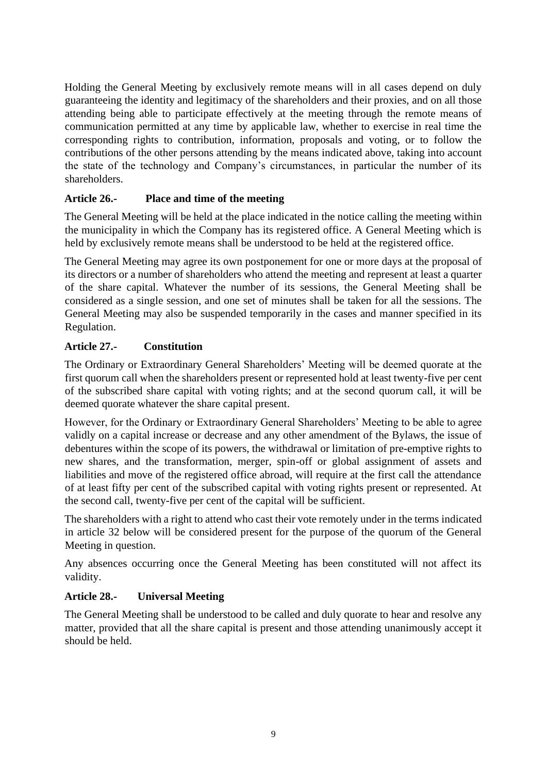Holding the General Meeting by exclusively remote means will in all cases depend on duly guaranteeing the identity and legitimacy of the shareholders and their proxies, and on all those attending being able to participate effectively at the meeting through the remote means of communication permitted at any time by applicable law, whether to exercise in real time the corresponding rights to contribution, information, proposals and voting, or to follow the contributions of the other persons attending by the means indicated above, taking into account the state of the technology and Company's circumstances, in particular the number of its shareholders.

# **Article 26.- Place and time of the meeting**

The General Meeting will be held at the place indicated in the notice calling the meeting within the municipality in which the Company has its registered office. A General Meeting which is held by exclusively remote means shall be understood to be held at the registered office.

The General Meeting may agree its own postponement for one or more days at the proposal of its directors or a number of shareholders who attend the meeting and represent at least a quarter of the share capital. Whatever the number of its sessions, the General Meeting shall be considered as a single session, and one set of minutes shall be taken for all the sessions. The General Meeting may also be suspended temporarily in the cases and manner specified in its Regulation.

# **Article 27.- Constitution**

The Ordinary or Extraordinary General Shareholders' Meeting will be deemed quorate at the first quorum call when the shareholders present or represented hold at least twenty-five per cent of the subscribed share capital with voting rights; and at the second quorum call, it will be deemed quorate whatever the share capital present.

However, for the Ordinary or Extraordinary General Shareholders' Meeting to be able to agree validly on a capital increase or decrease and any other amendment of the Bylaws, the issue of debentures within the scope of its powers, the withdrawal or limitation of pre-emptive rights to new shares, and the transformation, merger, spin-off or global assignment of assets and liabilities and move of the registered office abroad, will require at the first call the attendance of at least fifty per cent of the subscribed capital with voting rights present or represented. At the second call, twenty-five per cent of the capital will be sufficient.

The shareholders with a right to attend who cast their vote remotely under in the terms indicated in article 32 below will be considered present for the purpose of the quorum of the General Meeting in question.

Any absences occurring once the General Meeting has been constituted will not affect its validity.

#### **Article 28.- Universal Meeting**

The General Meeting shall be understood to be called and duly quorate to hear and resolve any matter, provided that all the share capital is present and those attending unanimously accept it should be held.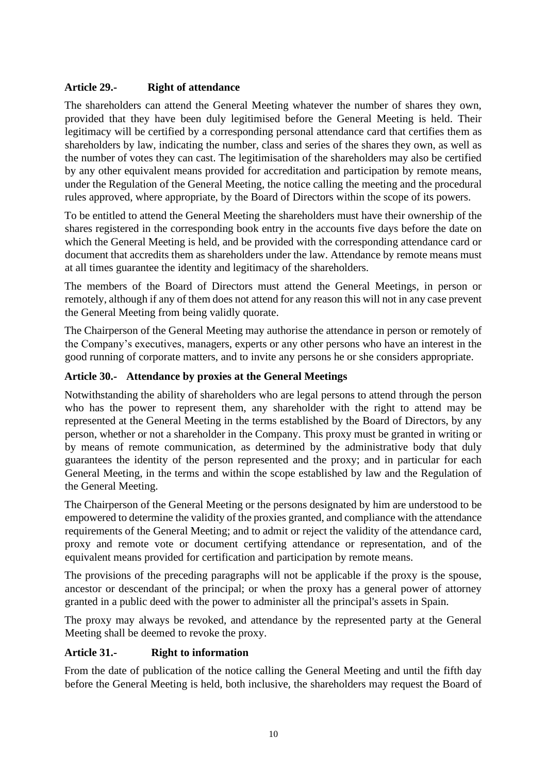# **Article 29.- Right of attendance**

The shareholders can attend the General Meeting whatever the number of shares they own, provided that they have been duly legitimised before the General Meeting is held. Their legitimacy will be certified by a corresponding personal attendance card that certifies them as shareholders by law, indicating the number, class and series of the shares they own, as well as the number of votes they can cast. The legitimisation of the shareholders may also be certified by any other equivalent means provided for accreditation and participation by remote means, under the Regulation of the General Meeting, the notice calling the meeting and the procedural rules approved, where appropriate, by the Board of Directors within the scope of its powers.

To be entitled to attend the General Meeting the shareholders must have their ownership of the shares registered in the corresponding book entry in the accounts five days before the date on which the General Meeting is held, and be provided with the corresponding attendance card or document that accredits them as shareholders under the law. Attendance by remote means must at all times guarantee the identity and legitimacy of the shareholders.

The members of the Board of Directors must attend the General Meetings, in person or remotely, although if any of them does not attend for any reason this will not in any case prevent the General Meeting from being validly quorate.

The Chairperson of the General Meeting may authorise the attendance in person or remotely of the Company's executives, managers, experts or any other persons who have an interest in the good running of corporate matters, and to invite any persons he or she considers appropriate.

# **Article 30.- Attendance by proxies at the General Meetings**

Notwithstanding the ability of shareholders who are legal persons to attend through the person who has the power to represent them, any shareholder with the right to attend may be represented at the General Meeting in the terms established by the Board of Directors, by any person, whether or not a shareholder in the Company. This proxy must be granted in writing or by means of remote communication, as determined by the administrative body that duly guarantees the identity of the person represented and the proxy; and in particular for each General Meeting, in the terms and within the scope established by law and the Regulation of the General Meeting.

The Chairperson of the General Meeting or the persons designated by him are understood to be empowered to determine the validity of the proxies granted, and compliance with the attendance requirements of the General Meeting; and to admit or reject the validity of the attendance card, proxy and remote vote or document certifying attendance or representation, and of the equivalent means provided for certification and participation by remote means.

The provisions of the preceding paragraphs will not be applicable if the proxy is the spouse, ancestor or descendant of the principal; or when the proxy has a general power of attorney granted in a public deed with the power to administer all the principal's assets in Spain.

The proxy may always be revoked, and attendance by the represented party at the General Meeting shall be deemed to revoke the proxy.

#### **Article 31.- Right to information**

From the date of publication of the notice calling the General Meeting and until the fifth day before the General Meeting is held, both inclusive, the shareholders may request the Board of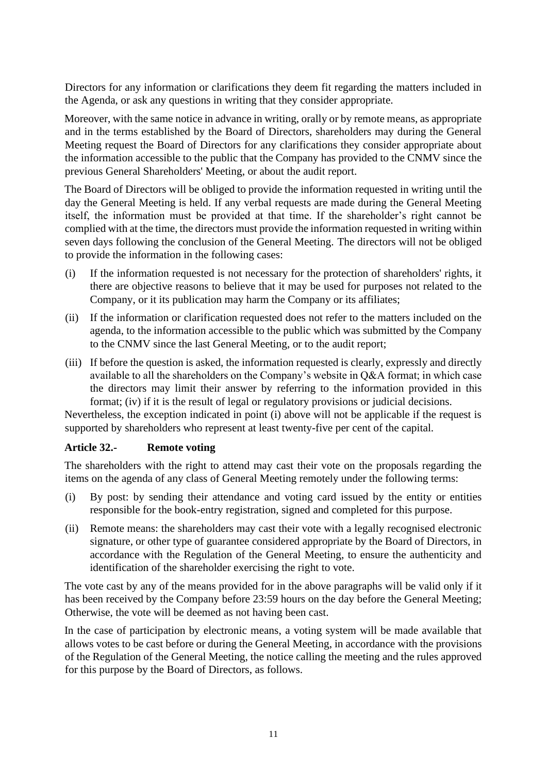Directors for any information or clarifications they deem fit regarding the matters included in the Agenda, or ask any questions in writing that they consider appropriate.

Moreover, with the same notice in advance in writing, orally or by remote means, as appropriate and in the terms established by the Board of Directors, shareholders may during the General Meeting request the Board of Directors for any clarifications they consider appropriate about the information accessible to the public that the Company has provided to the CNMV since the previous General Shareholders' Meeting, or about the audit report.

The Board of Directors will be obliged to provide the information requested in writing until the day the General Meeting is held. If any verbal requests are made during the General Meeting itself, the information must be provided at that time. If the shareholder's right cannot be complied with at the time, the directors must provide the information requested in writing within seven days following the conclusion of the General Meeting. The directors will not be obliged to provide the information in the following cases:

- (i) If the information requested is not necessary for the protection of shareholders' rights, it there are objective reasons to believe that it may be used for purposes not related to the Company, or it its publication may harm the Company or its affiliates;
- (ii) If the information or clarification requested does not refer to the matters included on the agenda, to the information accessible to the public which was submitted by the Company to the CNMV since the last General Meeting, or to the audit report;
- (iii) If before the question is asked, the information requested is clearly, expressly and directly available to all the shareholders on the Company's website in Q&A format; in which case the directors may limit their answer by referring to the information provided in this format; (iv) if it is the result of legal or regulatory provisions or judicial decisions.

Nevertheless, the exception indicated in point (i) above will not be applicable if the request is supported by shareholders who represent at least twenty-five per cent of the capital.

#### **Article 32.- Remote voting**

The shareholders with the right to attend may cast their vote on the proposals regarding the items on the agenda of any class of General Meeting remotely under the following terms:

- (i) By post: by sending their attendance and voting card issued by the entity or entities responsible for the book-entry registration, signed and completed for this purpose.
- (ii) Remote means: the shareholders may cast their vote with a legally recognised electronic signature, or other type of guarantee considered appropriate by the Board of Directors, in accordance with the Regulation of the General Meeting, to ensure the authenticity and identification of the shareholder exercising the right to vote.

The vote cast by any of the means provided for in the above paragraphs will be valid only if it has been received by the Company before 23:59 hours on the day before the General Meeting; Otherwise, the vote will be deemed as not having been cast.

In the case of participation by electronic means, a voting system will be made available that allows votes to be cast before or during the General Meeting, in accordance with the provisions of the Regulation of the General Meeting, the notice calling the meeting and the rules approved for this purpose by the Board of Directors, as follows.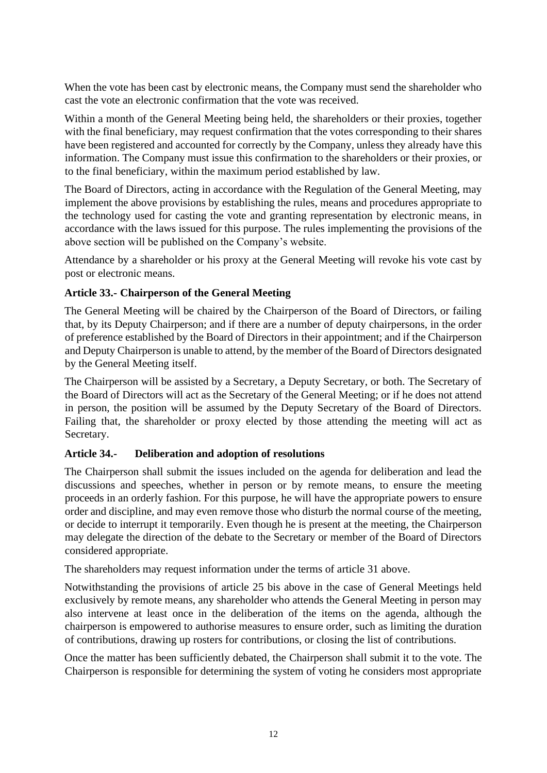When the vote has been cast by electronic means, the Company must send the shareholder who cast the vote an electronic confirmation that the vote was received.

Within a month of the General Meeting being held, the shareholders or their proxies, together with the final beneficiary, may request confirmation that the votes corresponding to their shares have been registered and accounted for correctly by the Company, unless they already have this information. The Company must issue this confirmation to the shareholders or their proxies, or to the final beneficiary, within the maximum period established by law.

The Board of Directors, acting in accordance with the Regulation of the General Meeting, may implement the above provisions by establishing the rules, means and procedures appropriate to the technology used for casting the vote and granting representation by electronic means, in accordance with the laws issued for this purpose. The rules implementing the provisions of the above section will be published on the Company's website.

Attendance by a shareholder or his proxy at the General Meeting will revoke his vote cast by post or electronic means.

# **Article 33.- Chairperson of the General Meeting**

The General Meeting will be chaired by the Chairperson of the Board of Directors, or failing that, by its Deputy Chairperson; and if there are a number of deputy chairpersons, in the order of preference established by the Board of Directors in their appointment; and if the Chairperson and Deputy Chairperson is unable to attend, by the member of the Board of Directors designated by the General Meeting itself.

The Chairperson will be assisted by a Secretary, a Deputy Secretary, or both. The Secretary of the Board of Directors will act as the Secretary of the General Meeting; or if he does not attend in person, the position will be assumed by the Deputy Secretary of the Board of Directors. Failing that, the shareholder or proxy elected by those attending the meeting will act as Secretary.

#### **Article 34.- Deliberation and adoption of resolutions**

The Chairperson shall submit the issues included on the agenda for deliberation and lead the discussions and speeches, whether in person or by remote means, to ensure the meeting proceeds in an orderly fashion. For this purpose, he will have the appropriate powers to ensure order and discipline, and may even remove those who disturb the normal course of the meeting, or decide to interrupt it temporarily. Even though he is present at the meeting, the Chairperson may delegate the direction of the debate to the Secretary or member of the Board of Directors considered appropriate.

The shareholders may request information under the terms of article 31 above.

Notwithstanding the provisions of article 25 bis above in the case of General Meetings held exclusively by remote means, any shareholder who attends the General Meeting in person may also intervene at least once in the deliberation of the items on the agenda, although the chairperson is empowered to authorise measures to ensure order, such as limiting the duration of contributions, drawing up rosters for contributions, or closing the list of contributions.

Once the matter has been sufficiently debated, the Chairperson shall submit it to the vote. The Chairperson is responsible for determining the system of voting he considers most appropriate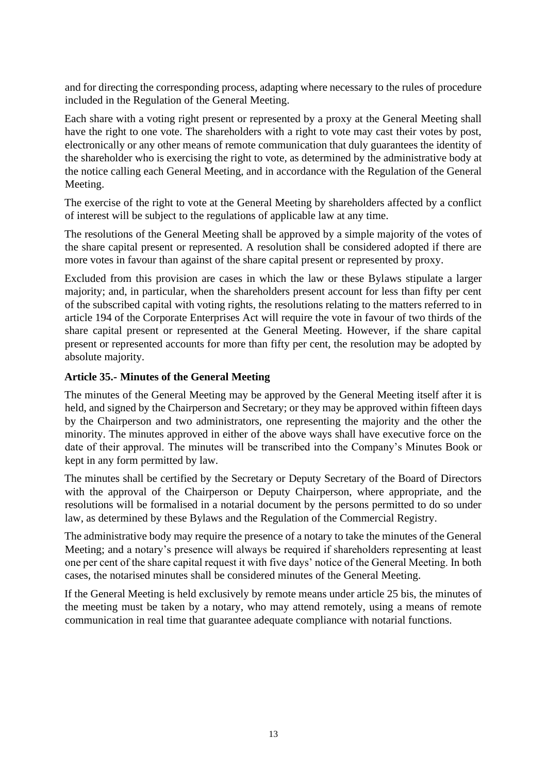and for directing the corresponding process, adapting where necessary to the rules of procedure included in the Regulation of the General Meeting.

Each share with a voting right present or represented by a proxy at the General Meeting shall have the right to one vote. The shareholders with a right to vote may cast their votes by post, electronically or any other means of remote communication that duly guarantees the identity of the shareholder who is exercising the right to vote, as determined by the administrative body at the notice calling each General Meeting, and in accordance with the Regulation of the General Meeting.

The exercise of the right to vote at the General Meeting by shareholders affected by a conflict of interest will be subject to the regulations of applicable law at any time.

The resolutions of the General Meeting shall be approved by a simple majority of the votes of the share capital present or represented. A resolution shall be considered adopted if there are more votes in favour than against of the share capital present or represented by proxy.

Excluded from this provision are cases in which the law or these Bylaws stipulate a larger majority; and, in particular, when the shareholders present account for less than fifty per cent of the subscribed capital with voting rights, the resolutions relating to the matters referred to in article 194 of the Corporate Enterprises Act will require the vote in favour of two thirds of the share capital present or represented at the General Meeting. However, if the share capital present or represented accounts for more than fifty per cent, the resolution may be adopted by absolute majority.

#### **Article 35.- Minutes of the General Meeting**

The minutes of the General Meeting may be approved by the General Meeting itself after it is held, and signed by the Chairperson and Secretary; or they may be approved within fifteen days by the Chairperson and two administrators, one representing the majority and the other the minority. The minutes approved in either of the above ways shall have executive force on the date of their approval. The minutes will be transcribed into the Company's Minutes Book or kept in any form permitted by law.

The minutes shall be certified by the Secretary or Deputy Secretary of the Board of Directors with the approval of the Chairperson or Deputy Chairperson, where appropriate, and the resolutions will be formalised in a notarial document by the persons permitted to do so under law, as determined by these Bylaws and the Regulation of the Commercial Registry.

The administrative body may require the presence of a notary to take the minutes of the General Meeting; and a notary's presence will always be required if shareholders representing at least one per cent of the share capital request it with five days' notice of the General Meeting. In both cases, the notarised minutes shall be considered minutes of the General Meeting.

If the General Meeting is held exclusively by remote means under article 25 bis, the minutes of the meeting must be taken by a notary, who may attend remotely, using a means of remote communication in real time that guarantee adequate compliance with notarial functions.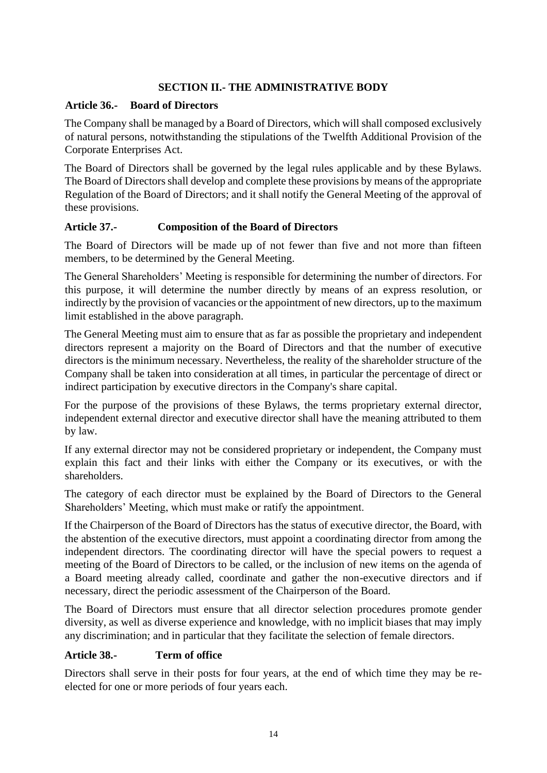#### **SECTION II.- THE ADMINISTRATIVE BODY**

#### **Article 36.- Board of Directors**

The Company shall be managed by a Board of Directors, which will shall composed exclusively of natural persons, notwithstanding the stipulations of the Twelfth Additional Provision of the Corporate Enterprises Act.

The Board of Directors shall be governed by the legal rules applicable and by these Bylaws. The Board of Directors shall develop and complete these provisions by means of the appropriate Regulation of the Board of Directors; and it shall notify the General Meeting of the approval of these provisions.

#### **Article 37.- Composition of the Board of Directors**

The Board of Directors will be made up of not fewer than five and not more than fifteen members, to be determined by the General Meeting.

The General Shareholders' Meeting is responsible for determining the number of directors. For this purpose, it will determine the number directly by means of an express resolution, or indirectly by the provision of vacancies or the appointment of new directors, up to the maximum limit established in the above paragraph.

The General Meeting must aim to ensure that as far as possible the proprietary and independent directors represent a majority on the Board of Directors and that the number of executive directors is the minimum necessary. Nevertheless, the reality of the shareholder structure of the Company shall be taken into consideration at all times, in particular the percentage of direct or indirect participation by executive directors in the Company's share capital.

For the purpose of the provisions of these Bylaws, the terms proprietary external director, independent external director and executive director shall have the meaning attributed to them by law.

If any external director may not be considered proprietary or independent, the Company must explain this fact and their links with either the Company or its executives, or with the shareholders.

The category of each director must be explained by the Board of Directors to the General Shareholders' Meeting, which must make or ratify the appointment.

If the Chairperson of the Board of Directors has the status of executive director, the Board, with the abstention of the executive directors, must appoint a coordinating director from among the independent directors. The coordinating director will have the special powers to request a meeting of the Board of Directors to be called, or the inclusion of new items on the agenda of a Board meeting already called, coordinate and gather the non-executive directors and if necessary, direct the periodic assessment of the Chairperson of the Board.

The Board of Directors must ensure that all director selection procedures promote gender diversity, as well as diverse experience and knowledge, with no implicit biases that may imply any discrimination; and in particular that they facilitate the selection of female directors.

#### **Article 38.- Term of office**

Directors shall serve in their posts for four years, at the end of which time they may be reelected for one or more periods of four years each.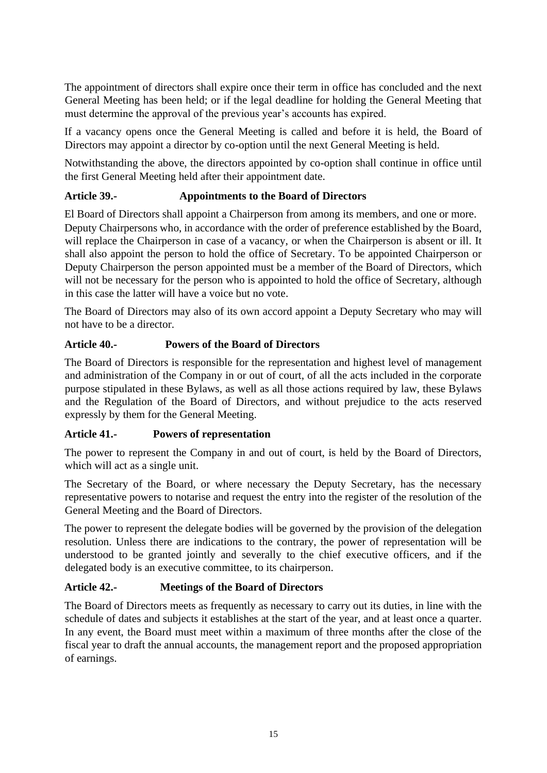The appointment of directors shall expire once their term in office has concluded and the next General Meeting has been held; or if the legal deadline for holding the General Meeting that must determine the approval of the previous year's accounts has expired.

If a vacancy opens once the General Meeting is called and before it is held, the Board of Directors may appoint a director by co-option until the next General Meeting is held.

Notwithstanding the above, the directors appointed by co-option shall continue in office until the first General Meeting held after their appointment date.

# **Article 39.- Appointments to the Board of Directors**

El Board of Directors shall appoint a Chairperson from among its members, and one or more. Deputy Chairpersons who, in accordance with the order of preference established by the Board, will replace the Chairperson in case of a vacancy, or when the Chairperson is absent or ill. It shall also appoint the person to hold the office of Secretary. To be appointed Chairperson or Deputy Chairperson the person appointed must be a member of the Board of Directors, which will not be necessary for the person who is appointed to hold the office of Secretary, although in this case the latter will have a voice but no vote.

The Board of Directors may also of its own accord appoint a Deputy Secretary who may will not have to be a director.

#### **Article 40.- Powers of the Board of Directors**

The Board of Directors is responsible for the representation and highest level of management and administration of the Company in or out of court, of all the acts included in the corporate purpose stipulated in these Bylaws, as well as all those actions required by law, these Bylaws and the Regulation of the Board of Directors, and without prejudice to the acts reserved expressly by them for the General Meeting.

#### **Article 41.- Powers of representation**

The power to represent the Company in and out of court, is held by the Board of Directors, which will act as a single unit.

The Secretary of the Board, or where necessary the Deputy Secretary, has the necessary representative powers to notarise and request the entry into the register of the resolution of the General Meeting and the Board of Directors.

The power to represent the delegate bodies will be governed by the provision of the delegation resolution. Unless there are indications to the contrary, the power of representation will be understood to be granted jointly and severally to the chief executive officers, and if the delegated body is an executive committee, to its chairperson.

#### **Article 42.- Meetings of the Board of Directors**

The Board of Directors meets as frequently as necessary to carry out its duties, in line with the schedule of dates and subjects it establishes at the start of the year, and at least once a quarter. In any event, the Board must meet within a maximum of three months after the close of the fiscal year to draft the annual accounts, the management report and the proposed appropriation of earnings.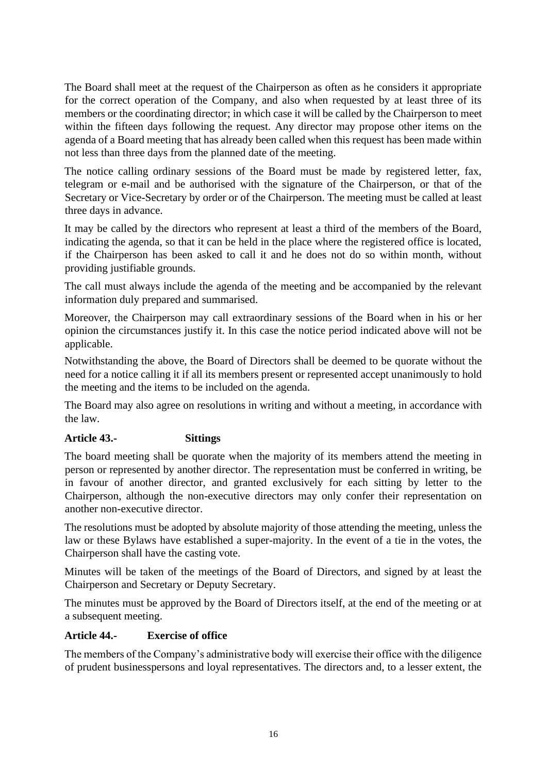The Board shall meet at the request of the Chairperson as often as he considers it appropriate for the correct operation of the Company, and also when requested by at least three of its members or the coordinating director; in which case it will be called by the Chairperson to meet within the fifteen days following the request. Any director may propose other items on the agenda of a Board meeting that has already been called when this request has been made within not less than three days from the planned date of the meeting.

The notice calling ordinary sessions of the Board must be made by registered letter, fax, telegram or e-mail and be authorised with the signature of the Chairperson, or that of the Secretary or Vice-Secretary by order or of the Chairperson. The meeting must be called at least three days in advance.

It may be called by the directors who represent at least a third of the members of the Board, indicating the agenda, so that it can be held in the place where the registered office is located, if the Chairperson has been asked to call it and he does not do so within month, without providing justifiable grounds.

The call must always include the agenda of the meeting and be accompanied by the relevant information duly prepared and summarised.

Moreover, the Chairperson may call extraordinary sessions of the Board when in his or her opinion the circumstances justify it. In this case the notice period indicated above will not be applicable.

Notwithstanding the above, the Board of Directors shall be deemed to be quorate without the need for a notice calling it if all its members present or represented accept unanimously to hold the meeting and the items to be included on the agenda.

The Board may also agree on resolutions in writing and without a meeting, in accordance with the law.

#### **Article 43.- Sittings**

The board meeting shall be quorate when the majority of its members attend the meeting in person or represented by another director. The representation must be conferred in writing, be in favour of another director, and granted exclusively for each sitting by letter to the Chairperson, although the non-executive directors may only confer their representation on another non-executive director.

The resolutions must be adopted by absolute majority of those attending the meeting, unless the law or these Bylaws have established a super-majority. In the event of a tie in the votes, the Chairperson shall have the casting vote.

Minutes will be taken of the meetings of the Board of Directors, and signed by at least the Chairperson and Secretary or Deputy Secretary.

The minutes must be approved by the Board of Directors itself, at the end of the meeting or at a subsequent meeting.

#### **Article 44.- Exercise of office**

The members of the Company's administrative body will exercise their office with the diligence of prudent businesspersons and loyal representatives. The directors and, to a lesser extent, the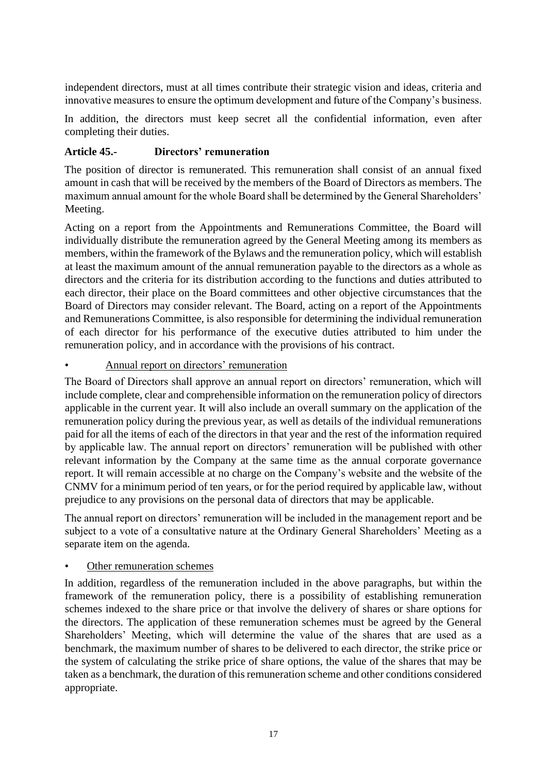independent directors, must at all times contribute their strategic vision and ideas, criteria and innovative measures to ensure the optimum development and future of the Company's business.

In addition, the directors must keep secret all the confidential information, even after completing their duties.

# **Article 45.- Directors' remuneration**

The position of director is remunerated. This remuneration shall consist of an annual fixed amount in cash that will be received by the members of the Board of Directors as members. The maximum annual amount for the whole Board shall be determined by the General Shareholders' Meeting.

Acting on a report from the Appointments and Remunerations Committee, the Board will individually distribute the remuneration agreed by the General Meeting among its members as members, within the framework of the Bylaws and the remuneration policy, which will establish at least the maximum amount of the annual remuneration payable to the directors as a whole as directors and the criteria for its distribution according to the functions and duties attributed to each director, their place on the Board committees and other objective circumstances that the Board of Directors may consider relevant. The Board, acting on a report of the Appointments and Remunerations Committee, is also responsible for determining the individual remuneration of each director for his performance of the executive duties attributed to him under the remuneration policy, and in accordance with the provisions of his contract.

#### • Annual report on directors' remuneration

The Board of Directors shall approve an annual report on directors' remuneration, which will include complete, clear and comprehensible information on the remuneration policy of directors applicable in the current year. It will also include an overall summary on the application of the remuneration policy during the previous year, as well as details of the individual remunerations paid for all the items of each of the directors in that year and the rest of the information required by applicable law. The annual report on directors' remuneration will be published with other relevant information by the Company at the same time as the annual corporate governance report. It will remain accessible at no charge on the Company's website and the website of the CNMV for a minimum period of ten years, or for the period required by applicable law, without prejudice to any provisions on the personal data of directors that may be applicable.

The annual report on directors' remuneration will be included in the management report and be subject to a vote of a consultative nature at the Ordinary General Shareholders' Meeting as a separate item on the agenda.

#### Other remuneration schemes

In addition, regardless of the remuneration included in the above paragraphs, but within the framework of the remuneration policy, there is a possibility of establishing remuneration schemes indexed to the share price or that involve the delivery of shares or share options for the directors. The application of these remuneration schemes must be agreed by the General Shareholders' Meeting, which will determine the value of the shares that are used as a benchmark, the maximum number of shares to be delivered to each director, the strike price or the system of calculating the strike price of share options, the value of the shares that may be taken as a benchmark, the duration of this remuneration scheme and other conditions considered appropriate.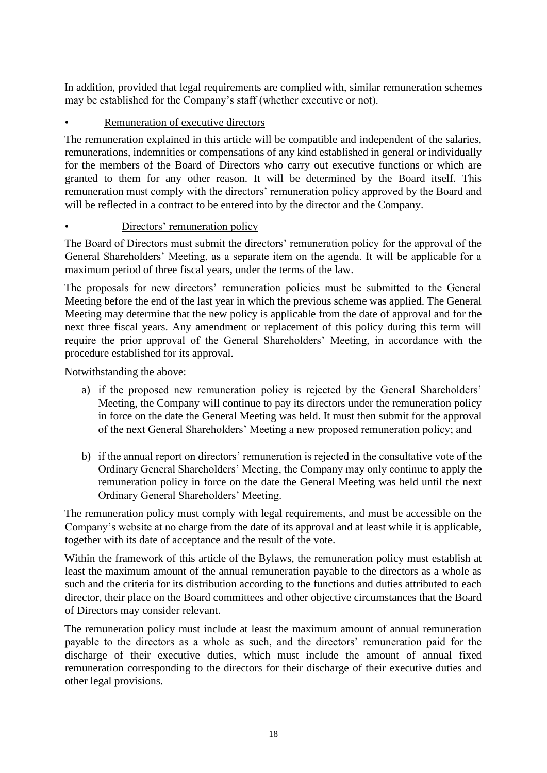In addition, provided that legal requirements are complied with, similar remuneration schemes may be established for the Company's staff (whether executive or not).

# Remuneration of executive directors

The remuneration explained in this article will be compatible and independent of the salaries, remunerations, indemnities or compensations of any kind established in general or individually for the members of the Board of Directors who carry out executive functions or which are granted to them for any other reason. It will be determined by the Board itself. This remuneration must comply with the directors' remuneration policy approved by the Board and will be reflected in a contract to be entered into by the director and the Company.

# Directors' remuneration policy

The Board of Directors must submit the directors' remuneration policy for the approval of the General Shareholders' Meeting, as a separate item on the agenda. It will be applicable for a maximum period of three fiscal years, under the terms of the law.

The proposals for new directors' remuneration policies must be submitted to the General Meeting before the end of the last year in which the previous scheme was applied. The General Meeting may determine that the new policy is applicable from the date of approval and for the next three fiscal years. Any amendment or replacement of this policy during this term will require the prior approval of the General Shareholders' Meeting, in accordance with the procedure established for its approval.

Notwithstanding the above:

- a) if the proposed new remuneration policy is rejected by the General Shareholders' Meeting, the Company will continue to pay its directors under the remuneration policy in force on the date the General Meeting was held. It must then submit for the approval of the next General Shareholders' Meeting a new proposed remuneration policy; and
- b) if the annual report on directors' remuneration is rejected in the consultative vote of the Ordinary General Shareholders' Meeting, the Company may only continue to apply the remuneration policy in force on the date the General Meeting was held until the next Ordinary General Shareholders' Meeting.

The remuneration policy must comply with legal requirements, and must be accessible on the Company's website at no charge from the date of its approval and at least while it is applicable, together with its date of acceptance and the result of the vote.

Within the framework of this article of the Bylaws, the remuneration policy must establish at least the maximum amount of the annual remuneration payable to the directors as a whole as such and the criteria for its distribution according to the functions and duties attributed to each director, their place on the Board committees and other objective circumstances that the Board of Directors may consider relevant.

The remuneration policy must include at least the maximum amount of annual remuneration payable to the directors as a whole as such, and the directors' remuneration paid for the discharge of their executive duties, which must include the amount of annual fixed remuneration corresponding to the directors for their discharge of their executive duties and other legal provisions.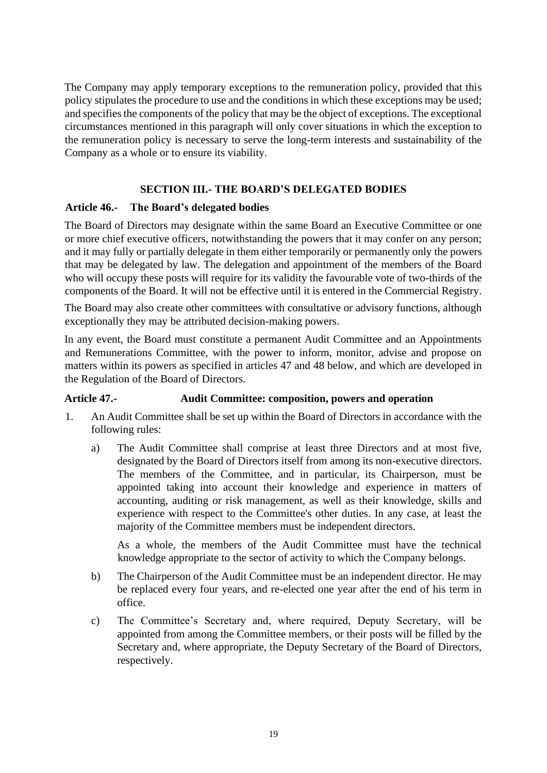The Company may apply temporary exceptions to the remuneration policy, provided that this policy stipulates the procedure to use and the conditions in which these exceptions may be used; and specifies the components of the policy that may be the object of exceptions. The exceptional circumstances mentioned in this paragraph will only cover situations in which the exception to the remuneration policy is necessary to serve the long-term interests and sustainability of the Company as a whole or to ensure its viability.

### **SECTION III.- THE BOARD'S DELEGATED BODIES**

#### **Article 46.- The Board's delegated bodies**

The Board of Directors may designate within the same Board an Executive Committee or one or more chief executive officers, notwithstanding the powers that it may confer on any person; and it may fully or partially delegate in them either temporarily or permanently only the powers that may be delegated by law. The delegation and appointment of the members of the Board who will occupy these posts will require for its validity the favourable vote of two-thirds of the components of the Board. It will not be effective until it is entered in the Commercial Registry.

The Board may also create other committees with consultative or advisory functions, although exceptionally they may be attributed decision-making powers.

In any event, the Board must constitute a permanent Audit Committee and an Appointments and Remunerations Committee, with the power to inform, monitor, advise and propose on matters within its powers as specified in articles 47 and 48 below, and which are developed in the Regulation of the Board of Directors.

#### **Article 47.- Audit Committee: composition, powers and operation**

- 1. An Audit Committee shall be set up within the Board of Directors in accordance with the following rules:
	- a) The Audit Committee shall comprise at least three Directors and at most five, designated by the Board of Directors itself from among its non-executive directors. The members of the Committee, and in particular, its Chairperson, must be appointed taking into account their knowledge and experience in matters of accounting, auditing or risk management, as well as their knowledge, skills and experience with respect to the Committee's other duties. In any case, at least the majority of the Committee members must be independent directors.

As a whole, the members of the Audit Committee must have the technical knowledge appropriate to the sector of activity to which the Company belongs.

- b) The Chairperson of the Audit Committee must be an independent director. He may be replaced every four years, and re-elected one year after the end of his term in office.
- c) The Committee's Secretary and, where required, Deputy Secretary, will be appointed from among the Committee members, or their posts will be filled by the Secretary and, where appropriate, the Deputy Secretary of the Board of Directors, respectively.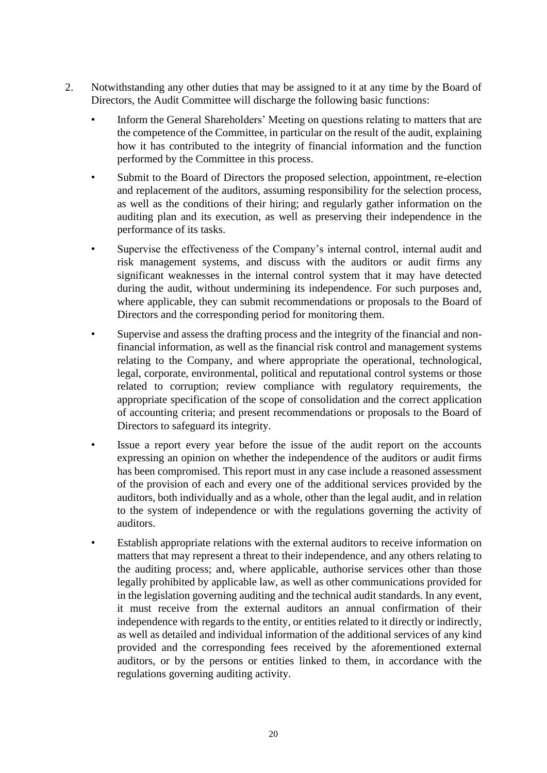- 2. Notwithstanding any other duties that may be assigned to it at any time by the Board of Directors, the Audit Committee will discharge the following basic functions:
	- Inform the General Shareholders' Meeting on questions relating to matters that are the competence of the Committee, in particular on the result of the audit, explaining how it has contributed to the integrity of financial information and the function performed by the Committee in this process.
	- Submit to the Board of Directors the proposed selection, appointment, re-election and replacement of the auditors, assuming responsibility for the selection process, as well as the conditions of their hiring; and regularly gather information on the auditing plan and its execution, as well as preserving their independence in the performance of its tasks.
	- Supervise the effectiveness of the Company's internal control, internal audit and risk management systems, and discuss with the auditors or audit firms any significant weaknesses in the internal control system that it may have detected during the audit, without undermining its independence. For such purposes and, where applicable, they can submit recommendations or proposals to the Board of Directors and the corresponding period for monitoring them.
	- Supervise and assess the drafting process and the integrity of the financial and nonfinancial information, as well as the financial risk control and management systems relating to the Company, and where appropriate the operational, technological, legal, corporate, environmental, political and reputational control systems or those related to corruption; review compliance with regulatory requirements, the appropriate specification of the scope of consolidation and the correct application of accounting criteria; and present recommendations or proposals to the Board of Directors to safeguard its integrity.
	- Issue a report every year before the issue of the audit report on the accounts expressing an opinion on whether the independence of the auditors or audit firms has been compromised. This report must in any case include a reasoned assessment of the provision of each and every one of the additional services provided by the auditors, both individually and as a whole, other than the legal audit, and in relation to the system of independence or with the regulations governing the activity of auditors.
	- Establish appropriate relations with the external auditors to receive information on matters that may represent a threat to their independence, and any others relating to the auditing process; and, where applicable, authorise services other than those legally prohibited by applicable law, as well as other communications provided for in the legislation governing auditing and the technical audit standards. In any event, it must receive from the external auditors an annual confirmation of their independence with regards to the entity, or entities related to it directly or indirectly, as well as detailed and individual information of the additional services of any kind provided and the corresponding fees received by the aforementioned external auditors, or by the persons or entities linked to them, in accordance with the regulations governing auditing activity.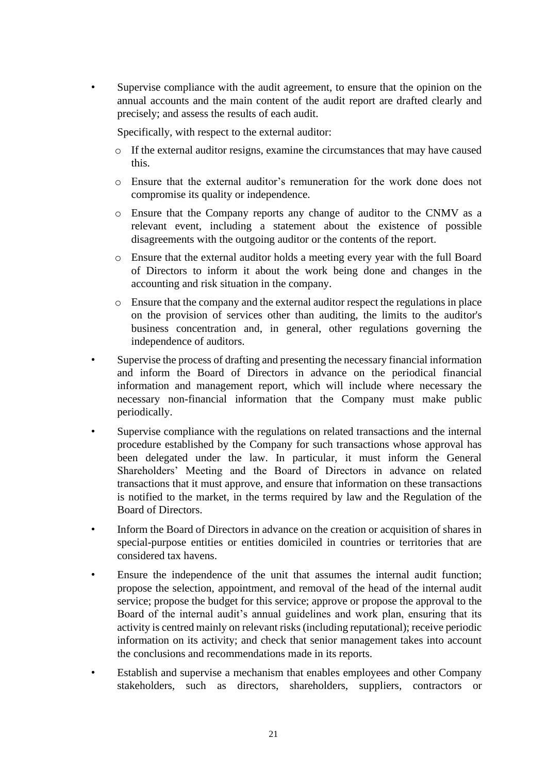Supervise compliance with the audit agreement, to ensure that the opinion on the annual accounts and the main content of the audit report are drafted clearly and precisely; and assess the results of each audit.

Specifically, with respect to the external auditor:

- $\circ$  If the external auditor resigns, examine the circumstances that may have caused this.
- o Ensure that the external auditor's remuneration for the work done does not compromise its quality or independence.
- o Ensure that the Company reports any change of auditor to the CNMV as a relevant event, including a statement about the existence of possible disagreements with the outgoing auditor or the contents of the report.
- o Ensure that the external auditor holds a meeting every year with the full Board of Directors to inform it about the work being done and changes in the accounting and risk situation in the company.
- o Ensure that the company and the external auditor respect the regulations in place on the provision of services other than auditing, the limits to the auditor's business concentration and, in general, other regulations governing the independence of auditors.
- Supervise the process of drafting and presenting the necessary financial information and inform the Board of Directors in advance on the periodical financial information and management report, which will include where necessary the necessary non-financial information that the Company must make public periodically.
- Supervise compliance with the regulations on related transactions and the internal procedure established by the Company for such transactions whose approval has been delegated under the law. In particular, it must inform the General Shareholders' Meeting and the Board of Directors in advance on related transactions that it must approve, and ensure that information on these transactions is notified to the market, in the terms required by law and the Regulation of the Board of Directors.
- Inform the Board of Directors in advance on the creation or acquisition of shares in special-purpose entities or entities domiciled in countries or territories that are considered tax havens.
- Ensure the independence of the unit that assumes the internal audit function; propose the selection, appointment, and removal of the head of the internal audit service; propose the budget for this service; approve or propose the approval to the Board of the internal audit's annual guidelines and work plan, ensuring that its activity is centred mainly on relevant risks (including reputational); receive periodic information on its activity; and check that senior management takes into account the conclusions and recommendations made in its reports.
- Establish and supervise a mechanism that enables employees and other Company stakeholders, such as directors, shareholders, suppliers, contractors or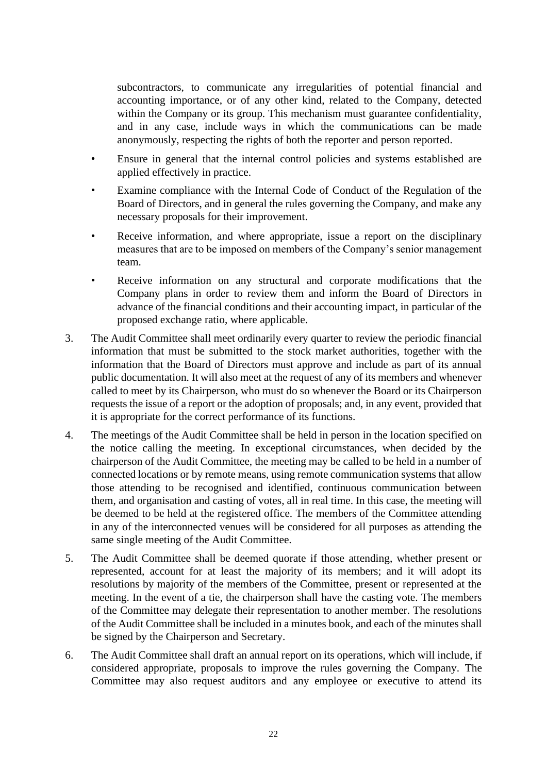subcontractors, to communicate any irregularities of potential financial and accounting importance, or of any other kind, related to the Company, detected within the Company or its group. This mechanism must guarantee confidentiality, and in any case, include ways in which the communications can be made anonymously, respecting the rights of both the reporter and person reported.

- Ensure in general that the internal control policies and systems established are applied effectively in practice.
- Examine compliance with the Internal Code of Conduct of the Regulation of the Board of Directors, and in general the rules governing the Company, and make any necessary proposals for their improvement.
- Receive information, and where appropriate, issue a report on the disciplinary measures that are to be imposed on members of the Company's senior management team.
- Receive information on any structural and corporate modifications that the Company plans in order to review them and inform the Board of Directors in advance of the financial conditions and their accounting impact, in particular of the proposed exchange ratio, where applicable.
- 3. The Audit Committee shall meet ordinarily every quarter to review the periodic financial information that must be submitted to the stock market authorities, together with the information that the Board of Directors must approve and include as part of its annual public documentation. It will also meet at the request of any of its members and whenever called to meet by its Chairperson, who must do so whenever the Board or its Chairperson requests the issue of a report or the adoption of proposals; and, in any event, provided that it is appropriate for the correct performance of its functions.
- 4. The meetings of the Audit Committee shall be held in person in the location specified on the notice calling the meeting. In exceptional circumstances, when decided by the chairperson of the Audit Committee, the meeting may be called to be held in a number of connected locations or by remote means, using remote communication systems that allow those attending to be recognised and identified, continuous communication between them, and organisation and casting of votes, all in real time. In this case, the meeting will be deemed to be held at the registered office. The members of the Committee attending in any of the interconnected venues will be considered for all purposes as attending the same single meeting of the Audit Committee.
- 5. The Audit Committee shall be deemed quorate if those attending, whether present or represented, account for at least the majority of its members; and it will adopt its resolutions by majority of the members of the Committee, present or represented at the meeting. In the event of a tie, the chairperson shall have the casting vote. The members of the Committee may delegate their representation to another member. The resolutions of the Audit Committee shall be included in a minutes book, and each of the minutes shall be signed by the Chairperson and Secretary.
- 6. The Audit Committee shall draft an annual report on its operations, which will include, if considered appropriate, proposals to improve the rules governing the Company. The Committee may also request auditors and any employee or executive to attend its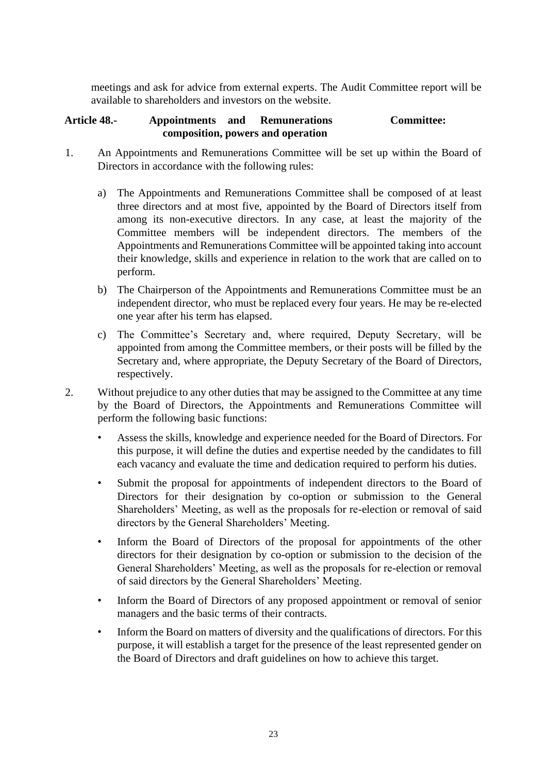meetings and ask for advice from external experts. The Audit Committee report will be available to shareholders and investors on the website.

#### **Article 48.- Appointments and Remunerations Committee: composition, powers and operation**

- 1. An Appointments and Remunerations Committee will be set up within the Board of Directors in accordance with the following rules:
	- a) The Appointments and Remunerations Committee shall be composed of at least three directors and at most five, appointed by the Board of Directors itself from among its non-executive directors. In any case, at least the majority of the Committee members will be independent directors. The members of the Appointments and Remunerations Committee will be appointed taking into account their knowledge, skills and experience in relation to the work that are called on to perform.
	- b) The Chairperson of the Appointments and Remunerations Committee must be an independent director, who must be replaced every four years. He may be re-elected one year after his term has elapsed.
	- c) The Committee's Secretary and, where required, Deputy Secretary, will be appointed from among the Committee members, or their posts will be filled by the Secretary and, where appropriate, the Deputy Secretary of the Board of Directors, respectively.
- 2. Without prejudice to any other duties that may be assigned to the Committee at any time by the Board of Directors, the Appointments and Remunerations Committee will perform the following basic functions:
	- Assess the skills, knowledge and experience needed for the Board of Directors. For this purpose, it will define the duties and expertise needed by the candidates to fill each vacancy and evaluate the time and dedication required to perform his duties.
	- Submit the proposal for appointments of independent directors to the Board of Directors for their designation by co-option or submission to the General Shareholders' Meeting, as well as the proposals for re-election or removal of said directors by the General Shareholders' Meeting.
	- Inform the Board of Directors of the proposal for appointments of the other directors for their designation by co-option or submission to the decision of the General Shareholders' Meeting, as well as the proposals for re-election or removal of said directors by the General Shareholders' Meeting.
	- Inform the Board of Directors of any proposed appointment or removal of senior managers and the basic terms of their contracts.
	- Inform the Board on matters of diversity and the qualifications of directors. For this purpose, it will establish a target for the presence of the least represented gender on the Board of Directors and draft guidelines on how to achieve this target.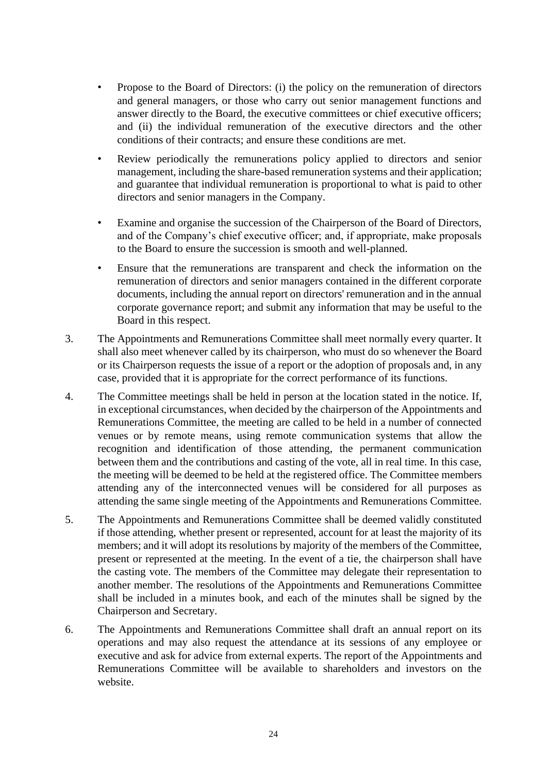- Propose to the Board of Directors: (i) the policy on the remuneration of directors and general managers, or those who carry out senior management functions and answer directly to the Board, the executive committees or chief executive officers; and (ii) the individual remuneration of the executive directors and the other conditions of their contracts; and ensure these conditions are met.
- Review periodically the remunerations policy applied to directors and senior management, including the share-based remuneration systems and their application; and guarantee that individual remuneration is proportional to what is paid to other directors and senior managers in the Company.
- Examine and organise the succession of the Chairperson of the Board of Directors, and of the Company's chief executive officer; and, if appropriate, make proposals to the Board to ensure the succession is smooth and well-planned.
- Ensure that the remunerations are transparent and check the information on the remuneration of directors and senior managers contained in the different corporate documents, including the annual report on directors' remuneration and in the annual corporate governance report; and submit any information that may be useful to the Board in this respect.
- 3. The Appointments and Remunerations Committee shall meet normally every quarter. It shall also meet whenever called by its chairperson, who must do so whenever the Board or its Chairperson requests the issue of a report or the adoption of proposals and, in any case, provided that it is appropriate for the correct performance of its functions.
- 4. The Committee meetings shall be held in person at the location stated in the notice. If, in exceptional circumstances, when decided by the chairperson of the Appointments and Remunerations Committee, the meeting are called to be held in a number of connected venues or by remote means, using remote communication systems that allow the recognition and identification of those attending, the permanent communication between them and the contributions and casting of the vote, all in real time. In this case, the meeting will be deemed to be held at the registered office. The Committee members attending any of the interconnected venues will be considered for all purposes as attending the same single meeting of the Appointments and Remunerations Committee.
- 5. The Appointments and Remunerations Committee shall be deemed validly constituted if those attending, whether present or represented, account for at least the majority of its members; and it will adopt its resolutions by majority of the members of the Committee, present or represented at the meeting. In the event of a tie, the chairperson shall have the casting vote. The members of the Committee may delegate their representation to another member. The resolutions of the Appointments and Remunerations Committee shall be included in a minutes book, and each of the minutes shall be signed by the Chairperson and Secretary.
- 6. The Appointments and Remunerations Committee shall draft an annual report on its operations and may also request the attendance at its sessions of any employee or executive and ask for advice from external experts. The report of the Appointments and Remunerations Committee will be available to shareholders and investors on the website.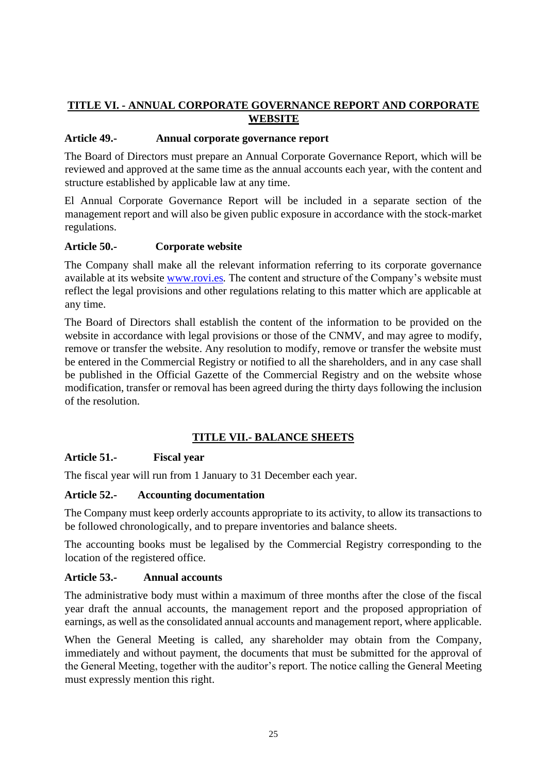# **TITLE VI. - ANNUAL CORPORATE GOVERNANCE REPORT AND CORPORATE WEBSITE**

### **Article 49.- Annual corporate governance report**

The Board of Directors must prepare an Annual Corporate Governance Report, which will be reviewed and approved at the same time as the annual accounts each year, with the content and structure established by applicable law at any time.

El Annual Corporate Governance Report will be included in a separate section of the management report and will also be given public exposure in accordance with the stock-market regulations.

# **Article 50.- Corporate website**

The Company shall make all the relevant information referring to its corporate governance available at its website [www.rovi.es](http://www.rovi.es/)*[.](http://www.rovi.es/)* The content and structure of the Company's website must reflect the legal provisions and other regulations relating to this matter which are applicable at any time.

The Board of Directors shall establish the content of the information to be provided on the website in accordance with legal provisions or those of the CNMV, and may agree to modify, remove or transfer the website. Any resolution to modify, remove or transfer the website must be entered in the Commercial Registry or notified to all the shareholders, and in any case shall be published in the Official Gazette of the Commercial Registry and on the website whose modification, transfer or removal has been agreed during the thirty days following the inclusion of the resolution.

# **TITLE VII.- BALANCE SHEETS**

#### **Article 51.- Fiscal year**

The fiscal year will run from 1 January to 31 December each year.

#### **Article 52.- Accounting documentation**

The Company must keep orderly accounts appropriate to its activity, to allow its transactions to be followed chronologically, and to prepare inventories and balance sheets.

The accounting books must be legalised by the Commercial Registry corresponding to the location of the registered office.

#### **Article 53.- Annual accounts**

The administrative body must within a maximum of three months after the close of the fiscal year draft the annual accounts, the management report and the proposed appropriation of earnings, as well as the consolidated annual accounts and management report, where applicable.

When the General Meeting is called, any shareholder may obtain from the Company, immediately and without payment, the documents that must be submitted for the approval of the General Meeting, together with the auditor's report. The notice calling the General Meeting must expressly mention this right.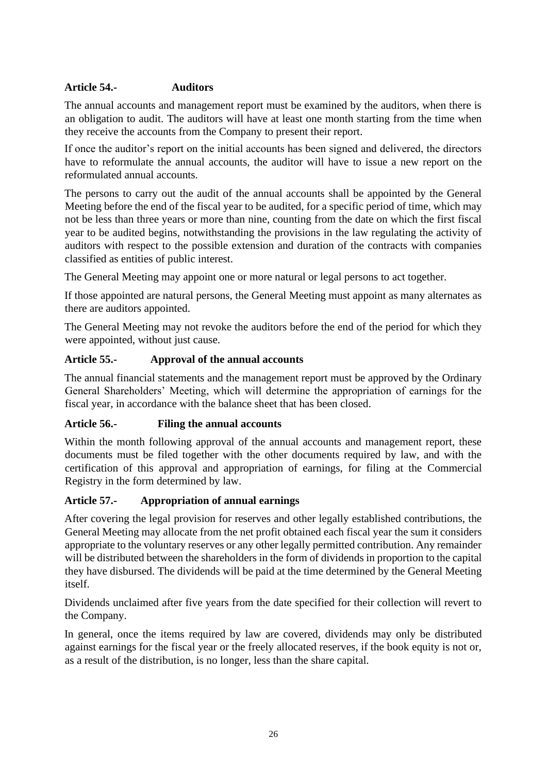# **Article 54.- Auditors**

The annual accounts and management report must be examined by the auditors, when there is an obligation to audit. The auditors will have at least one month starting from the time when they receive the accounts from the Company to present their report.

If once the auditor's report on the initial accounts has been signed and delivered, the directors have to reformulate the annual accounts, the auditor will have to issue a new report on the reformulated annual accounts.

The persons to carry out the audit of the annual accounts shall be appointed by the General Meeting before the end of the fiscal year to be audited, for a specific period of time, which may not be less than three years or more than nine, counting from the date on which the first fiscal year to be audited begins, notwithstanding the provisions in the law regulating the activity of auditors with respect to the possible extension and duration of the contracts with companies classified as entities of public interest.

The General Meeting may appoint one or more natural or legal persons to act together.

If those appointed are natural persons, the General Meeting must appoint as many alternates as there are auditors appointed.

The General Meeting may not revoke the auditors before the end of the period for which they were appointed, without just cause.

# **Article 55.- Approval of the annual accounts**

The annual financial statements and the management report must be approved by the Ordinary General Shareholders' Meeting, which will determine the appropriation of earnings for the fiscal year, in accordance with the balance sheet that has been closed.

# **Article 56.- Filing the annual accounts**

Within the month following approval of the annual accounts and management report, these documents must be filed together with the other documents required by law, and with the certification of this approval and appropriation of earnings, for filing at the Commercial Registry in the form determined by law.

#### **Article 57.- Appropriation of annual earnings**

After covering the legal provision for reserves and other legally established contributions, the General Meeting may allocate from the net profit obtained each fiscal year the sum it considers appropriate to the voluntary reserves or any other legally permitted contribution. Any remainder will be distributed between the shareholders in the form of dividends in proportion to the capital they have disbursed. The dividends will be paid at the time determined by the General Meeting itself.

Dividends unclaimed after five years from the date specified for their collection will revert to the Company.

In general, once the items required by law are covered, dividends may only be distributed against earnings for the fiscal year or the freely allocated reserves, if the book equity is not or, as a result of the distribution, is no longer, less than the share capital.